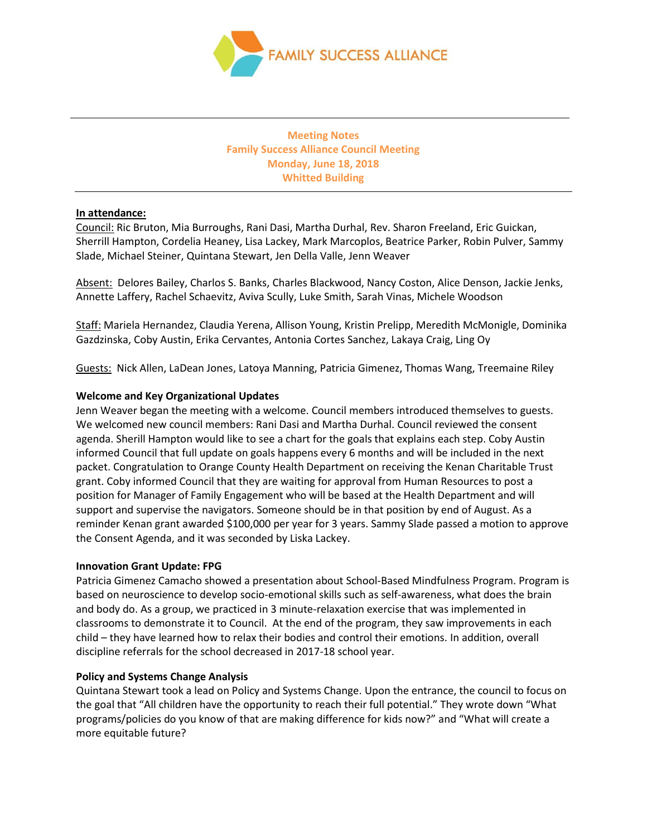

**Meeting Notes Family Success Alliance Council Meeting Monday, June 18, 2018 Whitted Building**

# **In attendance:**

Council: Ric Bruton, Mia Burroughs, Rani Dasi, Martha Durhal, Rev. Sharon Freeland, Eric Guickan, Sherrill Hampton, Cordelia Heaney, Lisa Lackey, Mark Marcoplos, Beatrice Parker, Robin Pulver, Sammy Slade, Michael Steiner, Quintana Stewart, Jen Della Valle, Jenn Weaver

Absent: Delores Bailey, Charlos S. Banks, Charles Blackwood, Nancy Coston, Alice Denson, Jackie Jenks, Annette Laffery, Rachel Schaevitz, Aviva Scully, Luke Smith, Sarah Vinas, Michele Woodson

Staff: Mariela Hernandez, Claudia Yerena, Allison Young, Kristin Prelipp, Meredith McMonigle, Dominika Gazdzinska, Coby Austin, Erika Cervantes, Antonia Cortes Sanchez, Lakaya Craig, Ling Oy

Guests: Nick Allen, LaDean Jones, Latoya Manning, Patricia Gimenez, Thomas Wang, Treemaine Riley

## **Welcome and Key Organizational Updates**

Jenn Weaver began the meeting with a welcome. Council members introduced themselves to guests. We welcomed new council members: Rani Dasi and Martha Durhal. Council reviewed the consent agenda. Sherill Hampton would like to see a chart for the goals that explains each step. Coby Austin informed Council that full update on goals happens every 6 months and will be included in the next packet. Congratulation to Orange County Health Department on receiving the Kenan Charitable Trust grant. Coby informed Council that they are waiting for approval from Human Resources to post a position for Manager of Family Engagement who will be based at the Health Department and will support and supervise the navigators. Someone should be in that position by end of August. As a reminder Kenan grant awarded \$100,000 per year for 3 years. Sammy Slade passed a motion to approve the Consent Agenda, and it was seconded by Liska Lackey.

#### **Innovation Grant Update: FPG**

Patricia Gimenez Camacho showed a presentation about School-Based Mindfulness Program. Program is based on neuroscience to develop socio-emotional skills such as self-awareness, what does the brain and body do. As a group, we practiced in 3 minute-relaxation exercise that was implemented in classrooms to demonstrate it to Council. At the end of the program, they saw improvements in each child – they have learned how to relax their bodies and control their emotions. In addition, overall discipline referrals for the school decreased in 2017-18 school year.

#### **Policy and Systems Change Analysis**

Quintana Stewart took a lead on Policy and Systems Change. Upon the entrance, the council to focus on the goal that "All children have the opportunity to reach their full potential." They wrote down "What programs/policies do you know of that are making difference for kids now?" and "What will create a more equitable future?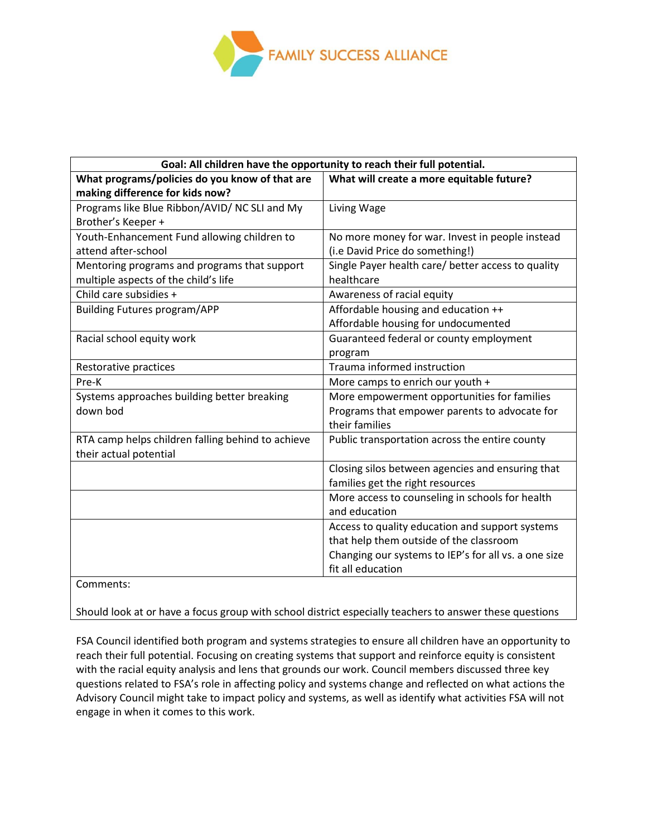

| Goal: All children have the opportunity to reach their full potential. |                                                      |
|------------------------------------------------------------------------|------------------------------------------------------|
| What programs/policies do you know of that are                         | What will create a more equitable future?            |
| making difference for kids now?                                        |                                                      |
| Programs like Blue Ribbon/AVID/ NC SLI and My                          | Living Wage                                          |
| Brother's Keeper +                                                     |                                                      |
| Youth-Enhancement Fund allowing children to                            | No more money for war. Invest in people instead      |
| attend after-school                                                    | (i.e David Price do something!)                      |
| Mentoring programs and programs that support                           | Single Payer health care/ better access to quality   |
| multiple aspects of the child's life                                   | healthcare                                           |
| Child care subsidies +                                                 | Awareness of racial equity                           |
| <b>Building Futures program/APP</b>                                    | Affordable housing and education ++                  |
|                                                                        | Affordable housing for undocumented                  |
| Racial school equity work                                              | Guaranteed federal or county employment              |
|                                                                        | program                                              |
| Restorative practices                                                  | Trauma informed instruction                          |
| Pre-K                                                                  | More camps to enrich our youth +                     |
| Systems approaches building better breaking                            | More empowerment opportunities for families          |
| down bod                                                               | Programs that empower parents to advocate for        |
|                                                                        | their families                                       |
| RTA camp helps children falling behind to achieve                      | Public transportation across the entire county       |
| their actual potential                                                 |                                                      |
|                                                                        | Closing silos between agencies and ensuring that     |
|                                                                        | families get the right resources                     |
|                                                                        | More access to counseling in schools for health      |
|                                                                        | and education                                        |
|                                                                        | Access to quality education and support systems      |
|                                                                        | that help them outside of the classroom              |
|                                                                        | Changing our systems to IEP's for all vs. a one size |
|                                                                        | fit all education                                    |
| Comments:                                                              |                                                      |

Should look at or have a focus group with school district especially teachers to answer these questions

FSA Council identified both program and systems strategies to ensure all children have an opportunity to reach their full potential. Focusing on creating systems that support and reinforce equity is consistent with the racial equity analysis and lens that grounds our work. Council members discussed three key questions related to FSA's role in affecting policy and systems change and reflected on what actions the Advisory Council might take to impact policy and systems, as well as identify what activities FSA will not engage in when it comes to this work.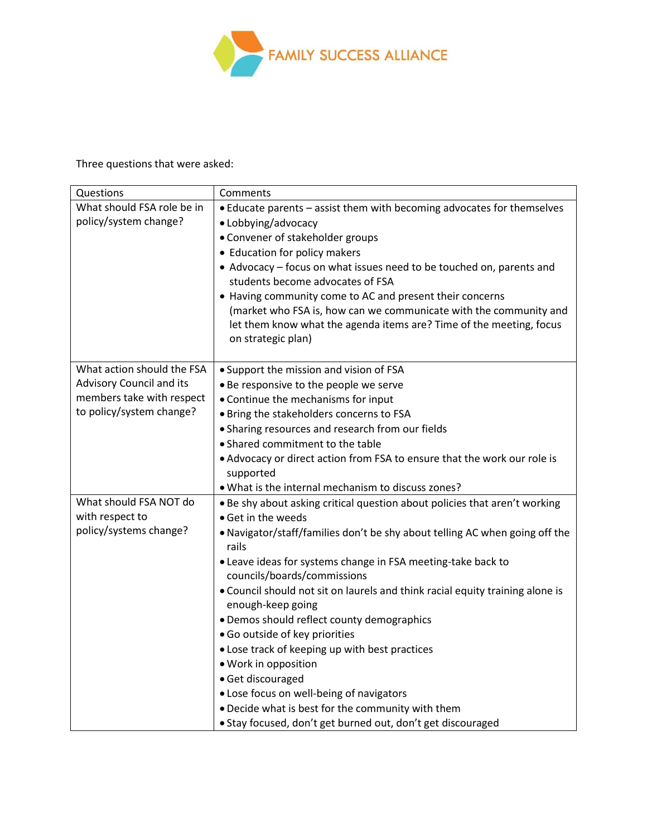

Three questions that were asked:

| Questions                                                                                                       | Comments                                                                                                                                                                                                                                                                                                                                                                                                    |
|-----------------------------------------------------------------------------------------------------------------|-------------------------------------------------------------------------------------------------------------------------------------------------------------------------------------------------------------------------------------------------------------------------------------------------------------------------------------------------------------------------------------------------------------|
| What should FSA role be in<br>policy/system change?                                                             | • Educate parents - assist them with becoming advocates for themselves<br>• Lobbying/advocacy<br>• Convener of stakeholder groups<br>• Education for policy makers<br>• Advocacy - focus on what issues need to be touched on, parents and<br>students become advocates of FSA                                                                                                                              |
|                                                                                                                 | • Having community come to AC and present their concerns<br>(market who FSA is, how can we communicate with the community and<br>let them know what the agenda items are? Time of the meeting, focus<br>on strategic plan)                                                                                                                                                                                  |
| What action should the FSA<br>Advisory Council and its<br>members take with respect<br>to policy/system change? | • Support the mission and vision of FSA<br>. Be responsive to the people we serve<br>• Continue the mechanisms for input<br>. Bring the stakeholders concerns to FSA<br>• Sharing resources and research from our fields<br>• Shared commitment to the table<br>• Advocacy or direct action from FSA to ensure that the work our role is<br>supported<br>. What is the internal mechanism to discuss zones? |
| What should FSA NOT do<br>with respect to                                                                       | . Be shy about asking critical question about policies that aren't working                                                                                                                                                                                                                                                                                                                                  |
| policy/systems change?                                                                                          | $\bullet$ Get in the weeds<br>. Navigator/staff/families don't be shy about telling AC when going off the<br>rails<br>. Leave ideas for systems change in FSA meeting-take back to<br>councils/boards/commissions                                                                                                                                                                                           |
|                                                                                                                 | . Council should not sit on laurels and think racial equity training alone is<br>enough-keep going<br>• Demos should reflect county demographics<br>· Go outside of key priorities<br>. Lose track of keeping up with best practices<br>· Work in opposition<br>· Get discouraged<br>. Lose focus on well-being of navigators                                                                               |
|                                                                                                                 | . Decide what is best for the community with them<br>· Stay focused, don't get burned out, don't get discouraged                                                                                                                                                                                                                                                                                            |